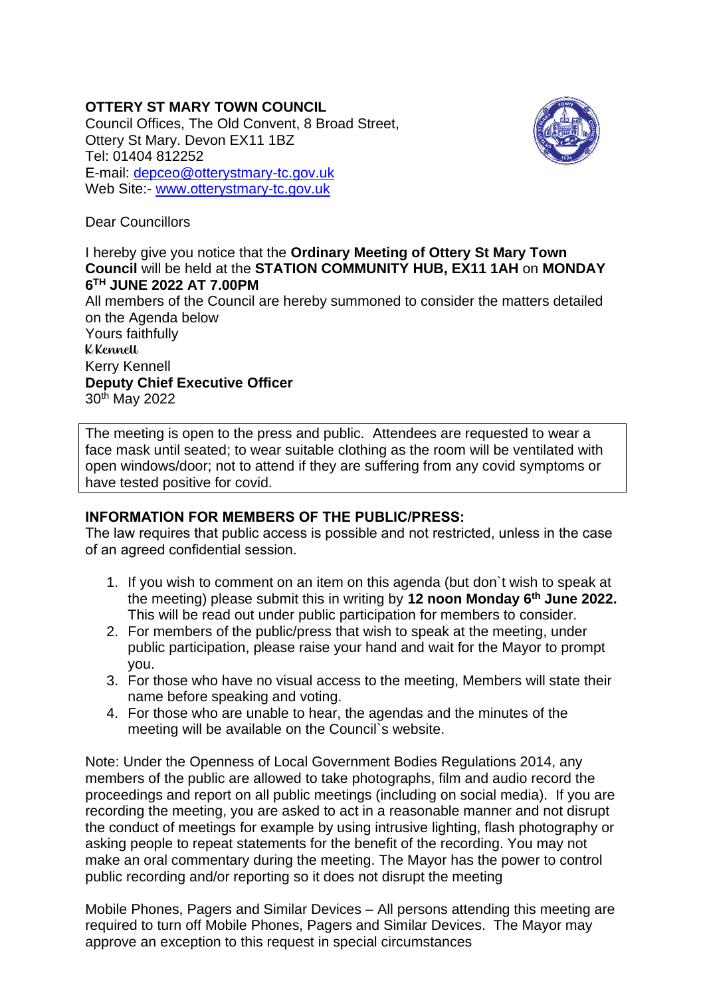## **OTTERY ST MARY TOWN COUNCIL**

Council Offices, The Old Convent, 8 Broad Street, Ottery St Mary. Devon EX11 1BZ Tel: 01404 812252 E-mail: [depceo@otterystmary-tc.gov.uk](mailto:depceo@otterystmary-tc.gov.uk)  Web Site:- [www.otterystmary-tc.gov.uk](http://www.otterystmary-tc.gov.uk/)



Dear Councillors

I hereby give you notice that the **Ordinary Meeting of Ottery St Mary Town Council** will be held at the **STATION COMMUNITY HUB, EX11 1AH** on **MONDAY 6 TH JUNE 2022 AT 7.00PM**

All members of the Council are hereby summoned to consider the matters detailed on the Agenda below

Yours faithfully K Kennell Kerry Kennell **Deputy Chief Executive Officer** 30th May 2022

The meeting is open to the press and public. Attendees are requested to wear a face mask until seated; to wear suitable clothing as the room will be ventilated with open windows/door; not to attend if they are suffering from any covid symptoms or have tested positive for covid.

## **INFORMATION FOR MEMBERS OF THE PUBLIC/PRESS:**

The law requires that public access is possible and not restricted, unless in the case of an agreed confidential session.

- 1. If you wish to comment on an item on this agenda (but don`t wish to speak at the meeting) please submit this in writing by **12 noon Monday 6 th June 2022.** This will be read out under public participation for members to consider.
- 2. For members of the public/press that wish to speak at the meeting, under public participation, please raise your hand and wait for the Mayor to prompt you.
- 3. For those who have no visual access to the meeting, Members will state their name before speaking and voting.
- 4. For those who are unable to hear, the agendas and the minutes of the meeting will be available on the Council`s website.

Note: Under the Openness of Local Government Bodies Regulations 2014, any members of the public are allowed to take photographs, film and audio record the proceedings and report on all public meetings (including on social media). If you are recording the meeting, you are asked to act in a reasonable manner and not disrupt the conduct of meetings for example by using intrusive lighting, flash photography or asking people to repeat statements for the benefit of the recording. You may not make an oral commentary during the meeting. The Mayor has the power to control public recording and/or reporting so it does not disrupt the meeting

Mobile Phones, Pagers and Similar Devices – All persons attending this meeting are required to turn off Mobile Phones, Pagers and Similar Devices. The Mayor may approve an exception to this request in special circumstances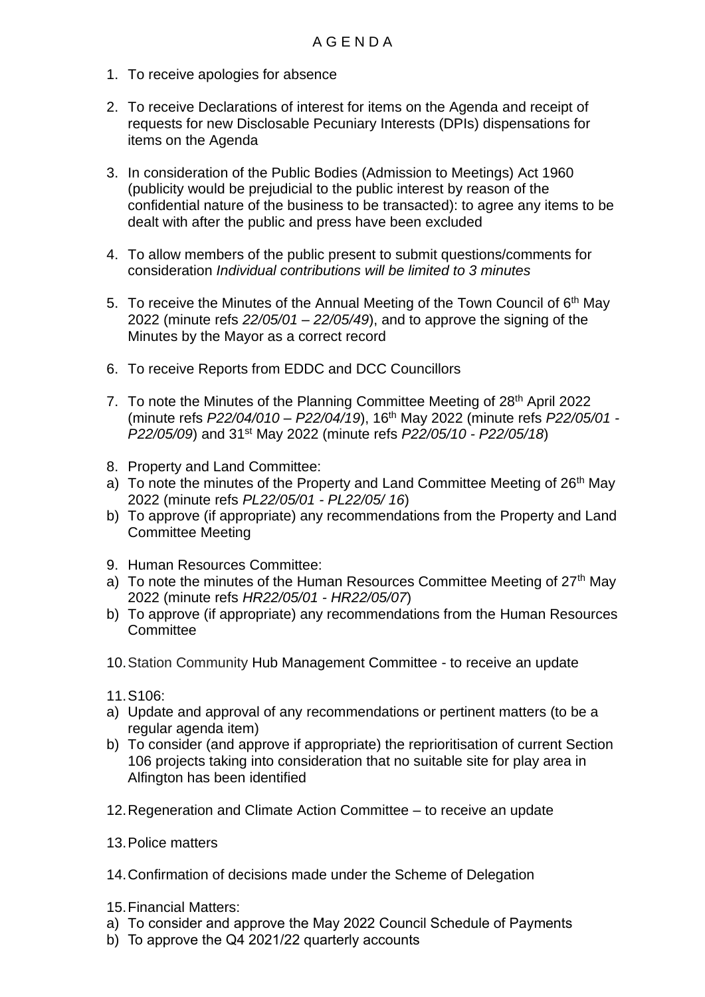- 1. To receive apologies for absence
- 2. To receive Declarations of interest for items on the Agenda and receipt of requests for new Disclosable Pecuniary Interests (DPIs) dispensations for items on the Agenda
- 3. In consideration of the Public Bodies (Admission to Meetings) Act 1960 (publicity would be prejudicial to the public interest by reason of the confidential nature of the business to be transacted): to agree any items to be dealt with after the public and press have been excluded
- 4. To allow members of the public present to submit questions/comments for consideration *Individual contributions will be limited to 3 minutes*
- 5. To receive the Minutes of the Annual Meeting of the Town Council of  $6<sup>th</sup>$  May 2022 (minute refs *22/05/01 – 22/05/49*), and to approve the signing of the Minutes by the Mayor as a correct record
- 6. To receive Reports from EDDC and DCC Councillors
- 7. To note the Minutes of the Planning Committee Meeting of 28<sup>th</sup> April 2022 (minute refs *P22/04/010 – P22/04/19*), 16th May 2022 (minute refs *P22/05/01 - P22/05/09*) and 31st May 2022 (minute refs *P22/05/10 - P22/05/18*)
- 8. Property and Land Committee:
- a) To note the minutes of the Property and Land Committee Meeting of 26<sup>th</sup> May 2022 (minute refs *PL22/05/01 - PL22/05/ 16*)
- b) To approve (if appropriate) any recommendations from the Property and Land Committee Meeting
- 9. Human Resources Committee:
- a) To note the minutes of the Human Resources Committee Meeting of  $27<sup>th</sup>$  May 2022 (minute refs *HR22/05/01 - HR22/05/07*)
- b) To approve (if appropriate) any recommendations from the Human Resources **Committee**
- 10.Station Community Hub Management Committee to receive an update

- a) Update and approval of any recommendations or pertinent matters (to be a regular agenda item)
- b) To consider (and approve if appropriate) the reprioritisation of current Section 106 projects taking into consideration that no suitable site for play area in Alfington has been identified
- 12.Regeneration and Climate Action Committee to receive an update
- 13.Police matters
- 14.Confirmation of decisions made under the Scheme of Delegation
- 15.Financial Matters:
- a) To consider and approve the May 2022 Council Schedule of Payments
- b) To approve the Q4 2021/22 quarterly accounts

<sup>11.</sup>S106: